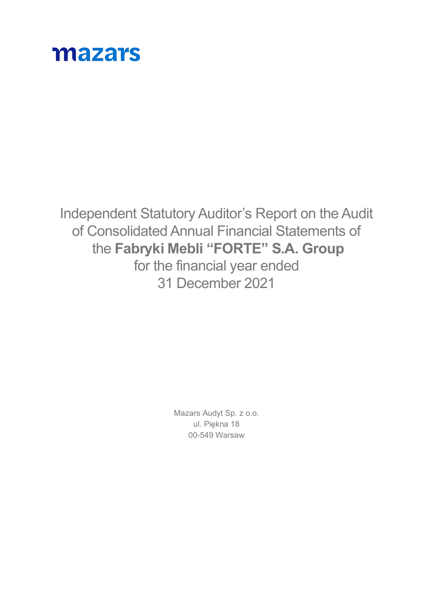

Independent Statutory Auditor's Report on the Audit of Consolidated Annual Financial Statements of the **Fabryki Mebli "FORTE" S.A. Group** for the financial year ended 31 December 2021

> Mazars Audyt Sp. z o.o. ul. Piękna 18 00-549 Warsaw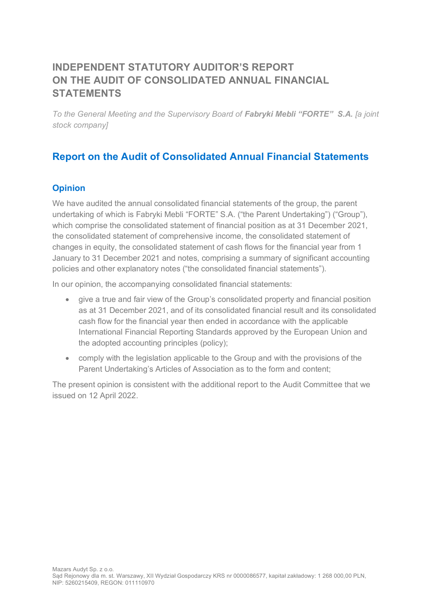# **INDEPENDENT STATUTORY AUDITOR'S REPORT ON THE AUDIT OF CONSOLIDATED ANNUAL FINANCIAL STATEMENTS**

*To the General Meeting and the Supervisory Board of Fabryki Mebli "FORTE" S.A. [a joint stock company]*

# **Report on the Audit of Consolidated Annual Financial Statements**

# **Opinion**

We have audited the annual consolidated financial statements of the group, the parent undertaking of which is Fabryki Mebli "FORTE" S.A. ("the Parent Undertaking") ("Group"), which comprise the consolidated statement of financial position as at 31 December 2021, the consolidated statement of comprehensive income, the consolidated statement of changes in equity, the consolidated statement of cash flows for the financial year from 1 January to 31 December 2021 and notes, comprising a summary of significant accounting policies and other explanatory notes ("the consolidated financial statements").

In our opinion, the accompanying consolidated financial statements:

- give a true and fair view of the Group's consolidated property and financial position as at 31 December 2021, and of its consolidated financial result and its consolidated cash flow for the financial year then ended in accordance with the applicable International Financial Reporting Standards approved by the European Union and the adopted accounting principles (policy);
- comply with the legislation applicable to the Group and with the provisions of the Parent Undertaking's Articles of Association as to the form and content;

The present opinion is consistent with the additional report to the Audit Committee that we issued on 12 April 2022.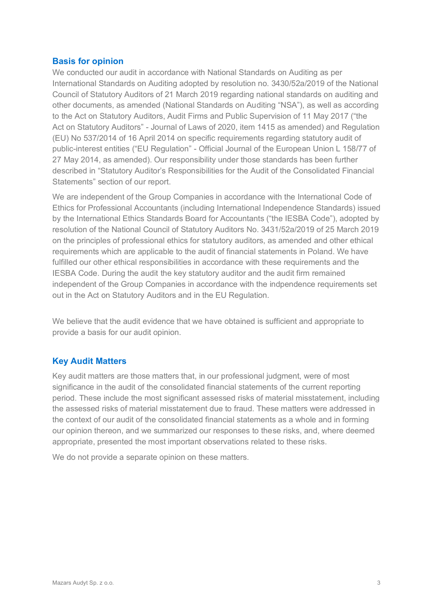#### **Basis for opinion**

We conducted our audit in accordance with National Standards on Auditing as per International Standards on Auditing adopted by resolution no. 3430/52a/2019 of the National Council of Statutory Auditors of 21 March 2019 regarding national standards on auditing and other documents, as amended (National Standards on Auditing "NSA"), as well as according to the Act on Statutory Auditors, Audit Firms and Public Supervision of 11 May 2017 ("the Act on Statutory Auditors" - Journal of Laws of 2020, item 1415 as amended) and Regulation (EU) No 537/2014 of 16 April 2014 on specific requirements regarding statutory audit of public-interest entities ("EU Regulation" - Official Journal of the European Union L 158/77 of 27 May 2014, as amended). Our responsibility under those standards has been further described in "Statutory Auditor's Responsibilities for the Audit of the Consolidated Financial Statements" section of our report.

We are independent of the Group Companies in accordance with the International Code of Ethics for Professional Accountants (including International Independence Standards) issued by the International Ethics Standards Board for Accountants ("the IESBA Code"), adopted by resolution of the National Council of Statutory Auditors No. 3431/52a/2019 of 25 March 2019 on the principles of professional ethics for statutory auditors, as amended and other ethical requirements which are applicable to the audit of financial statements in Poland. We have fulfilled our other ethical responsibilities in accordance with these requirements and the IESBA Code. During the audit the key statutory auditor and the audit firm remained independent of the Group Companies in accordance with the indpendence requirements set out in the Act on Statutory Auditors and in the EU Regulation.

We believe that the audit evidence that we have obtained is sufficient and appropriate to provide a basis for our audit opinion.

# **Key Audit Matters**

Key audit matters are those matters that, in our professional judgment, were of most significance in the audit of the consolidated financial statements of the current reporting period. These include the most significant assessed risks of material misstatement, including the assessed risks of material misstatement due to fraud. These matters were addressed in the context of our audit of the consolidated financial statements as a whole and in forming our opinion thereon, and we summarized our responses to these risks, and, where deemed appropriate, presented the most important observations related to these risks.

We do not provide a separate opinion on these matters.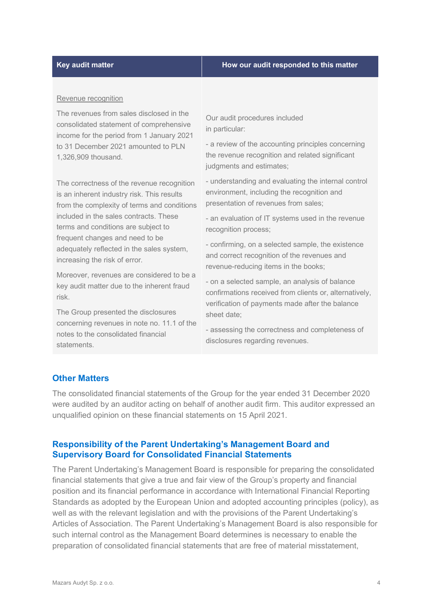#### **Key audit matter How our audit responded to this matter**

#### Revenue recognition

The revenues from sales disclosed in the consolidated statement of comprehensive income for the period from 1 January 2021 to 31 December 2021 amounted to PLN 1,326,909 thousand.

The correctness of the revenue recognition is an inherent industry risk. This results from the complexity of terms and conditions included in the sales contracts. These terms and conditions are subject to frequent changes and need to be adequately reflected in the sales system, increasing the risk of error.

Moreover, revenues are considered to be a key audit matter due to the inherent fraud risk.

The Group presented the disclosures concerning revenues in note no. 11.1 of the notes to the consolidated financial statements.

Our audit procedures included in particular:

- a review of the accounting principles concerning the revenue recognition and related significant judgments and estimates;

- understanding and evaluating the internal control environment, including the recognition and presentation of revenues from sales;

- an evaluation of IT systems used in the revenue recognition process;

- confirming, on a selected sample, the existence and correct recognition of the revenues and revenue-reducing items in the books;

- on a selected sample, an analysis of balance confirmations received from clients or, alternatively, verification of payments made after the balance sheet date;

- assessing the correctness and completeness of disclosures regarding revenues.

# **Other Matters**

The consolidated financial statements of the Group for the year ended 31 December 2020 were audited by an auditor acting on behalf of another audit firm. This auditor expressed an unqualified opinion on these financial statements on 15 April 2021.

#### **Responsibility of the Parent Undertaking's Management Board and Supervisory Board for Consolidated Financial Statements**

The Parent Undertaking's Management Board is responsible for preparing the consolidated financial statements that give a true and fair view of the Group's property and financial position and its financial performance in accordance with International Financial Reporting Standards as adopted by the European Union and adopted accounting principles (policy), as well as with the relevant legislation and with the provisions of the Parent Undertaking's Articles of Association. The Parent Undertaking's Management Board is also responsible for such internal control as the Management Board determines is necessary to enable the preparation of consolidated financial statements that are free of material misstatement,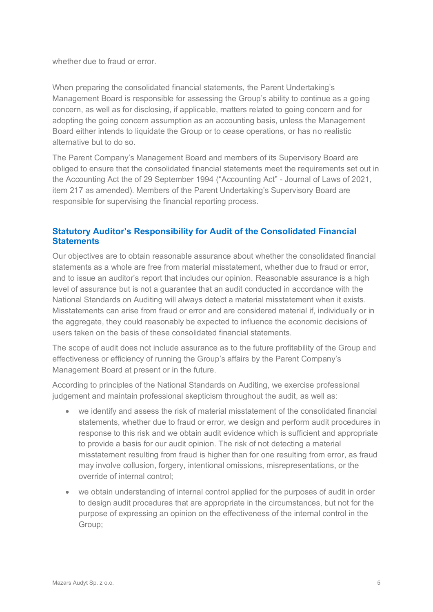whether due to fraud or error.

When preparing the consolidated financial statements, the Parent Undertaking's Management Board is responsible for assessing the Group's ability to continue as a going concern, as well as for disclosing, if applicable, matters related to going concern and for adopting the going concern assumption as an accounting basis, unless the Management Board either intends to liquidate the Group or to cease operations, or has no realistic alternative but to do so.

The Parent Company's Management Board and members of its Supervisory Board are obliged to ensure that the consolidated financial statements meet the requirements set out in the Accounting Act the of 29 September 1994 ("Accounting Act" - Journal of Laws of 2021, item 217 as amended). Members of the Parent Undertaking's Supervisory Board are responsible for supervising the financial reporting process.

# **Statutory Auditor's Responsibility for Audit of the Consolidated Financial Statements**

Our objectives are to obtain reasonable assurance about whether the consolidated financial statements as a whole are free from material misstatement, whether due to fraud or error, and to issue an auditor's report that includes our opinion. Reasonable assurance is a high level of assurance but is not a guarantee that an audit conducted in accordance with the National Standards on Auditing will always detect a material misstatement when it exists. Misstatements can arise from fraud or error and are considered material if, individually or in the aggregate, they could reasonably be expected to influence the economic decisions of users taken on the basis of these consolidated financial statements.

The scope of audit does not include assurance as to the future profitability of the Group and effectiveness or efficiency of running the Group's affairs by the Parent Company's Management Board at present or in the future.

According to principles of the National Standards on Auditing, we exercise professional judgement and maintain professional skepticism throughout the audit, as well as:

- we identify and assess the risk of material misstatement of the consolidated financial statements, whether due to fraud or error, we design and perform audit procedures in response to this risk and we obtain audit evidence which is sufficient and appropriate to provide a basis for our audit opinion. The risk of not detecting a material misstatement resulting from fraud is higher than for one resulting from error, as fraud may involve collusion, forgery, intentional omissions, misrepresentations, or the override of internal control;
- we obtain understanding of internal control applied for the purposes of audit in order to design audit procedures that are appropriate in the circumstances, but not for the purpose of expressing an opinion on the effectiveness of the internal control in the Group;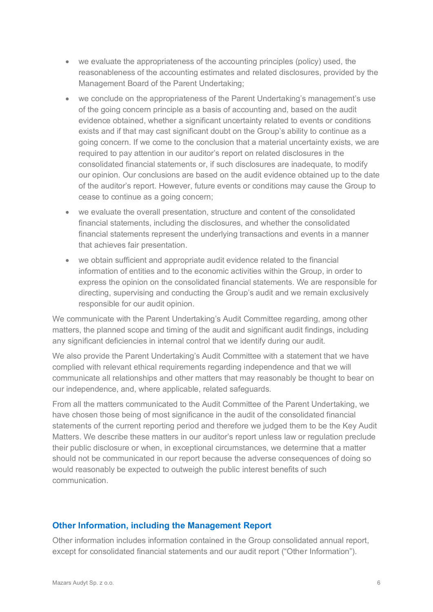- we evaluate the appropriateness of the accounting principles (policy) used, the reasonableness of the accounting estimates and related disclosures, provided by the Management Board of the Parent Undertaking;
- we conclude on the appropriateness of the Parent Undertaking's management's use of the going concern principle as a basis of accounting and, based on the audit evidence obtained, whether a significant uncertainty related to events or conditions exists and if that may cast significant doubt on the Group's ability to continue as a going concern. If we come to the conclusion that a material uncertainty exists, we are required to pay attention in our auditor's report on related disclosures in the consolidated financial statements or, if such disclosures are inadequate, to modify our opinion. Our conclusions are based on the audit evidence obtained up to the date of the auditor's report. However, future events or conditions may cause the Group to cease to continue as a going concern;
- we evaluate the overall presentation, structure and content of the consolidated financial statements, including the disclosures, and whether the consolidated financial statements represent the underlying transactions and events in a manner that achieves fair presentation.
- we obtain sufficient and appropriate audit evidence related to the financial information of entities and to the economic activities within the Group, in order to express the opinion on the consolidated financial statements. We are responsible for directing, supervising and conducting the Group's audit and we remain exclusively responsible for our audit opinion.

We communicate with the Parent Undertaking's Audit Committee regarding, among other matters, the planned scope and timing of the audit and significant audit findings, including any significant deficiencies in internal control that we identify during our audit.

We also provide the Parent Undertaking's Audit Committee with a statement that we have complied with relevant ethical requirements regarding independence and that we will communicate all relationships and other matters that may reasonably be thought to bear on our independence, and, where applicable, related safeguards.

From all the matters communicated to the Audit Committee of the Parent Undertaking, we have chosen those being of most significance in the audit of the consolidated financial statements of the current reporting period and therefore we judged them to be the Key Audit Matters. We describe these matters in our auditor's report unless law or regulation preclude their public disclosure or when, in exceptional circumstances, we determine that a matter should not be communicated in our report because the adverse consequences of doing so would reasonably be expected to outweigh the public interest benefits of such communication.

# **Other Information, including the Management Report**

Other information includes information contained in the Group consolidated annual report, except for consolidated financial statements and our audit report ("Other Information").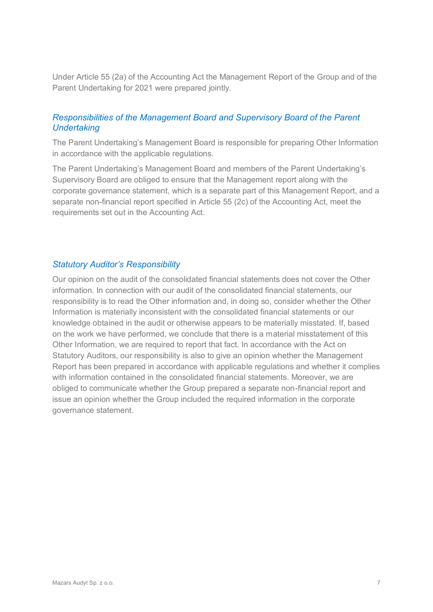Under Article 55 (2a) of the Accounting Act the Management Report of the Group and of the Parent Undertaking for 2021 were prepared jointly.

# *Responsibilities of the Management Board and Supervisory Board of the Parent Undertaking*

The Parent Undertaking's Management Board is responsible for preparing Other Information in accordance with the applicable regulations.

The Parent Undertaking's Management Board and members of the Parent Undertaking's Supervisory Board are obliged to ensure that the Management report along with the corporate governance statement, which is a separate part of this Management Report, and a separate non-financial report specified in Article 55 (2c) of the Accounting Act, meet the requirements set out in the Accounting Act.

### *Statutory Auditor's Responsibility*

Our opinion on the audit of the consolidated financial statements does not cover the Other information. In connection with our audit of the consolidated financial statements, our responsibility is to read the Other information and, in doing so, consider whether the Other Information is materially inconsistent with the consolidated financial statements or our knowledge obtained in the audit or otherwise appears to be materially misstated. If, based on the work we have performed, we conclude that there is a material misstatement of this Other Information, we are required to report that fact. In accordance with the Act on Statutory Auditors, our responsibility is also to give an opinion whether the Management Report has been prepared in accordance with applicable regulations and whether it complies with information contained in the consolidated financial statements. Moreover, we are obliged to communicate whether the Group prepared a separate non-financial report and issue an opinion whether the Group included the required information in the corporate governance statement.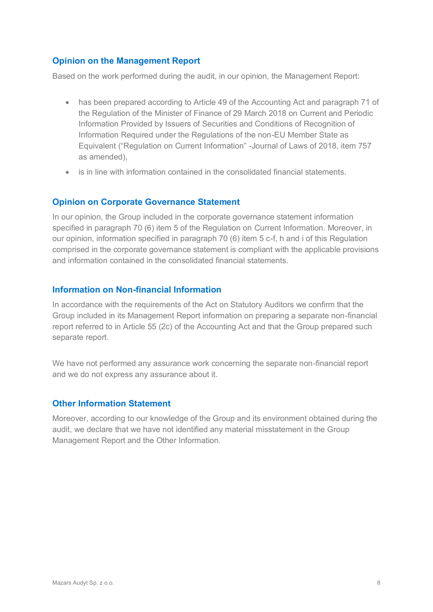# **Opinion on the Management Report**

Based on the work performed during the audit, in our opinion, the Management Report:

- has been prepared according to Article 49 of the Accounting Act and paragraph 71 of the Regulation of the Minister of Finance of 29 March 2018 on Current and Periodic Information Provided by Issuers of Securities and Conditions of Recognition of Information Required under the Regulations of the non-EU Member State as Equivalent ("Regulation on Current Information" -Journal of Laws of 2018, item 757 as amended),
- is in line with information contained in the consolidated financial statements.

#### **Opinion on Corporate Governance Statement**

In our opinion, the Group included in the corporate governance statement information specified in paragraph 70 (6) item 5 of the Regulation on Current Information. Moreover, in our opinion, information specified in paragraph 70 (6) item 5 c-f, h and i of this Regulation comprised in the corporate governance statement is compliant with the applicable provisions and information contained in the consolidated financial statements.

#### **Information on Non-financial Information**

In accordance with the requirements of the Act on Statutory Auditors we confirm that the Group included in its Management Report information on preparing a separate non-financial report referred to in Article 55 (2c) of the Accounting Act and that the Group prepared such separate report.

We have not performed any assurance work concerning the separate non-financial report and we do not express any assurance about it.

#### **Other Information Statement**

Moreover, according to our knowledge of the Group and its environment obtained during the audit, we declare that we have not identified any material misstatement in the Group Management Report and the Other Information.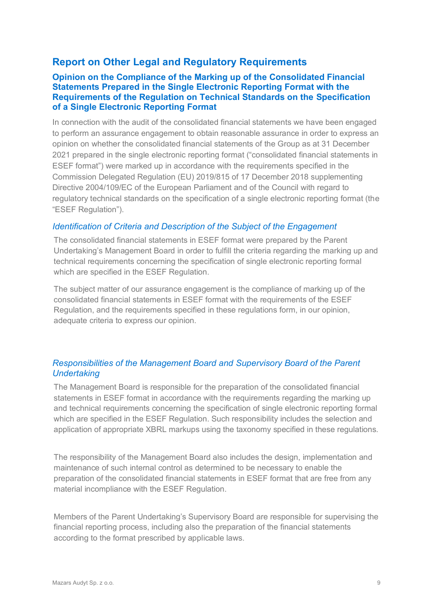# **Report on Other Legal and Regulatory Requirements**

# **Opinion on the Compliance of the Marking up of the Consolidated Financial Statements Prepared in the Single Electronic Reporting Format with the Requirements of the Regulation on Technical Standards on the Specification of a Single Electronic Reporting Format**

In connection with the audit of the consolidated financial statements we have been engaged to perform an assurance engagement to obtain reasonable assurance in order to express an opinion on whether the consolidated financial statements of the Group as at 31 December 2021 prepared in the single electronic reporting format ("consolidated financial statements in ESEF format") were marked up in accordance with the requirements specified in the Commission Delegated Regulation (EU) 2019/815 of 17 December 2018 supplementing Directive 2004/109/EC of the European Parliament and of the Council with regard to regulatory technical standards on the specification of a single electronic reporting format (the "ESEF Regulation").

# *Identification of Criteria and Description of the Subject of the Engagement*

The consolidated financial statements in ESEF format were prepared by the Parent Undertaking's Management Board in order to fulfill the criteria regarding the marking up and technical requirements concerning the specification of single electronic reporting formal which are specified in the ESEF Regulation.

The subject matter of our assurance engagement is the compliance of marking up of the consolidated financial statements in ESEF format with the requirements of the ESEF Regulation, and the requirements specified in these regulations form, in our opinion, adequate criteria to express our opinion.

# *Responsibilities of the Management Board and Supervisory Board of the Parent Undertaking*

The Management Board is responsible for the preparation of the consolidated financial statements in ESEF format in accordance with the requirements regarding the marking up and technical requirements concerning the specification of single electronic reporting formal which are specified in the ESEF Regulation. Such responsibility includes the selection and application of appropriate XBRL markups using the taxonomy specified in these regulations.

The responsibility of the Management Board also includes the design, implementation and maintenance of such internal control as determined to be necessary to enable the preparation of the consolidated financial statements in ESEF format that are free from any material incompliance with the ESEF Regulation.

Members of the Parent Undertaking's Supervisory Board are responsible for supervising the financial reporting process, including also the preparation of the financial statements according to the format prescribed by applicable laws.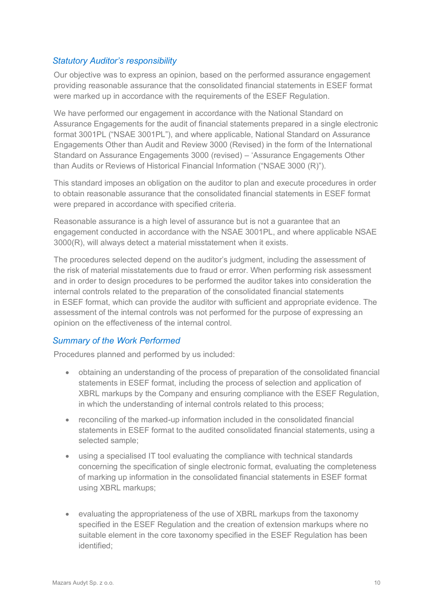# *Statutory Auditor's responsibility*

Our objective was to express an opinion, based on the performed assurance engagement providing reasonable assurance that the consolidated financial statements in ESEF format were marked up in accordance with the requirements of the ESEF Regulation.

We have performed our engagement in accordance with the National Standard on Assurance Engagements for the audit of financial statements prepared in a single electronic format 3001PL ("NSAE 3001PL"), and where applicable, National Standard on Assurance Engagements Other than Audit and Review 3000 (Revised) in the form of the International Standard on Assurance Engagements 3000 (revised) – 'Assurance Engagements Other than Audits or Reviews of Historical Financial Information ("NSAE 3000 (R)").

This standard imposes an obligation on the auditor to plan and execute procedures in order to obtain reasonable assurance that the consolidated financial statements in ESEF format were prepared in accordance with specified criteria.

Reasonable assurance is a high level of assurance but is not a guarantee that an engagement conducted in accordance with the NSAE 3001PL, and where applicable NSAE 3000(R), will always detect a material misstatement when it exists.

The procedures selected depend on the auditor's judgment, including the assessment of the risk of material misstatements due to fraud or error. When performing risk assessment and in order to design procedures to be performed the auditor takes into consideration the internal controls related to the preparation of the consolidated financial statements in ESEF format, which can provide the auditor with sufficient and appropriate evidence. The assessment of the internal controls was not performed for the purpose of expressing an opinion on the effectiveness of the internal control.

# *Summary of the Work Performed*

Procedures planned and performed by us included:

- obtaining an understanding of the process of preparation of the consolidated financial statements in ESEF format, including the process of selection and application of XBRL markups by the Company and ensuring compliance with the ESEF Regulation, in which the understanding of internal controls related to this process;
- reconciling of the marked-up information included in the consolidated financial statements in ESEF format to the audited consolidated financial statements, using a selected sample;
- using a specialised IT tool evaluating the compliance with technical standards concerning the specification of single electronic format, evaluating the completeness of marking up information in the consolidated financial statements in ESEF format using XBRL markups;
- evaluating the appropriateness of the use of XBRL markups from the taxonomy specified in the ESEF Regulation and the creation of extension markups where no suitable element in the core taxonomy specified in the ESEF Regulation has been identified;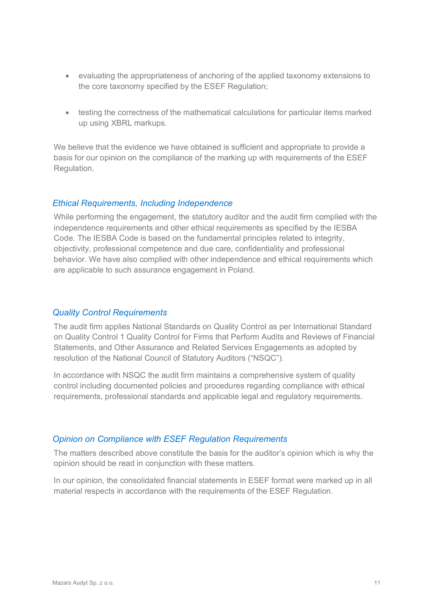- evaluating the appropriateness of anchoring of the applied taxonomy extensions to the core taxonomy specified by the ESEF Regulation;
- testing the correctness of the mathematical calculations for particular items marked up using XBRL markups.

We believe that the evidence we have obtained is sufficient and appropriate to provide a basis for our opinion on the compliance of the marking up with requirements of the ESEF Regulation.

#### *Ethical Requirements, Including Independence*

While performing the engagement, the statutory auditor and the audit firm complied with the independence requirements and other ethical requirements as specified by the IESBA Code. The IESBA Code is based on the fundamental principles related to integrity, objectivity, professional competence and due care, confidentiality and professional behavior. We have also complied with other independence and ethical requirements which are applicable to such assurance engagement in Poland.

#### *Quality Control Requirements*

The audit firm applies National Standards on Quality Control as per International Standard on Quality Control 1 Quality Control for Firms that Perform Audits and Reviews of Financial Statements, and Other Assurance and Related Services Engagements as adopted by resolution of the National Council of Statutory Auditors ("NSQC").

In accordance with NSQC the audit firm maintains a comprehensive system of quality control including documented policies and procedures regarding compliance with ethical requirements, professional standards and applicable legal and regulatory requirements.

#### *Opinion on Compliance with ESEF Regulation Requirements*

The matters described above constitute the basis for the auditor's opinion which is why the opinion should be read in conjunction with these matters.

In our opinion, the consolidated financial statements in ESEF format were marked up in all material respects in accordance with the requirements of the ESEF Regulation.